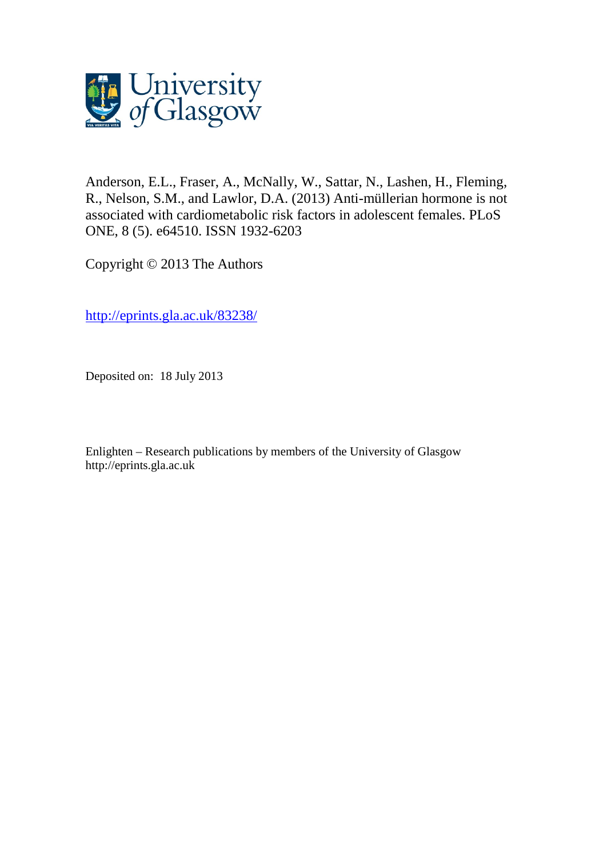

Anderson, E.L., Fraser, A., McNally, W., Sattar, N., Lashen, H., Fleming, R., Nelson, S.M., and Lawlor, D.A. (2013) Anti-müllerian hormone is not associated with cardiometabolic risk factors in adolescent females. PLoS ONE, 8 (5). e64510. ISSN 1932-6203

Copyright © 2013 The Authors

[http://eprints.gla.ac.uk/83238/](http://eprints.gla.ac.uk/83246/)

Deposited on: 18 July 2013

Enlighten – Research publications by members of the University of Glasgo[w](http://eprints.gla.ac.uk/) [http://eprints.gla.ac.uk](http://eprints.gla.ac.uk/)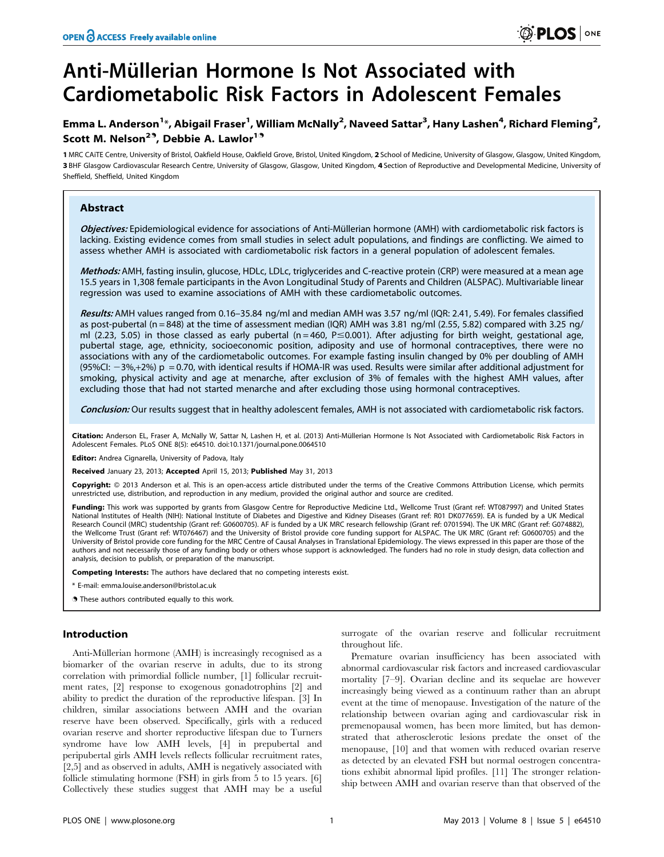# Anti-Müllerian Hormone Is Not Associated with Cardiometabolic Risk Factors in Adolescent Females

## Emma L. Anderson<sup>1</sup>\*, Abigail Fraser<sup>1</sup>, William McNally<sup>2</sup>, Naveed Sattar<sup>3</sup>, Hany Lashen<sup>4</sup>, Richard Fleming<sup>2</sup>, Scott M. Nelson<sup>2.</sup>, Debbie A. Lawlor<sup>1.</sup>

1 MRC CAiTE Centre, University of Bristol, Oakfield House, Oakfield Grove, Bristol, United Kingdom, 2 School of Medicine, University of Glasgow, Glasgow, United Kingdom, 3 BHF Glasgow Cardiovascular Research Centre, University of Glasgow, Glasgow, United Kingdom, 4 Section of Reproductive and Developmental Medicine, University of Sheffield, Sheffield, United Kingdom

## Abstract

Objectives: Epidemiological evidence for associations of Anti-Müllerian hormone (AMH) with cardiometabolic risk factors is lacking. Existing evidence comes from small studies in select adult populations, and findings are conflicting. We aimed to assess whether AMH is associated with cardiometabolic risk factors in a general population of adolescent females.

Methods: AMH, fasting insulin, glucose, HDLc, LDLc, triglycerides and C-reactive protein (CRP) were measured at a mean age 15.5 years in 1,308 female participants in the Avon Longitudinal Study of Parents and Children (ALSPAC). Multivariable linear regression was used to examine associations of AMH with these cardiometabolic outcomes.

Results: AMH values ranged from 0.16-35.84 ng/ml and median AMH was 3.57 ng/ml (IQR: 2.41, 5.49). For females classified as post-pubertal (n = 848) at the time of assessment median (IQR) AMH was 3.81 ng/ml (2.55, 5.82) compared with 3.25 ng/ ml (2.23, 5.05) in those classed as early pubertal (n=460, P $\leq$ 0.001). After adjusting for birth weight, gestational age, pubertal stage, age, ethnicity, socioeconomic position, adiposity and use of hormonal contraceptives, there were no associations with any of the cardiometabolic outcomes. For example fasting insulin changed by 0% per doubling of AMH  $(95\%$ CI:  $-3\%,+2\%)$  p = 0.70, with identical results if HOMA-IR was used. Results were similar after additional adjustment for smoking, physical activity and age at menarche, after exclusion of 3% of females with the highest AMH values, after excluding those that had not started menarche and after excluding those using hormonal contraceptives.

Conclusion: Our results suggest that in healthy adolescent females, AMH is not associated with cardiometabolic risk factors.

Citation: Anderson EL, Fraser A, McNally W, Sattar N, Lashen H, et al. (2013) Anti-Müllerian Hormone Is Not Associated with Cardiometabolic Risk Factors in Adolescent Females. PLoS ONE 8(5): e64510. doi:10.1371/journal.pone.0064510

Editor: Andrea Cignarella, University of Padova, Italy

Received January 23, 2013; Accepted April 15, 2013; Published May 31, 2013

Copyright: © 2013 Anderson et al. This is an open-access article distributed under the terms of the Creative Commons Attribution License, which permits unrestricted use, distribution, and reproduction in any medium, provided the original author and source are credited.

Funding: This work was supported by grants from Glasgow Centre for Reproductive Medicine Ltd., Wellcome Trust (Grant ref: WT087997) and United States National Institutes of Health (NIH): National Institute of Diabetes and Digestive and Kidney Diseases (Grant ref: R01 DK077659). EA is funded by a UK Medical Research Council (MRC) studentship (Grant ref: G0600705). AF is funded by a UK MRC research fellowship (Grant ref: 0701594). The UK MRC (Grant ref: G074882), the Wellcome Trust (Grant ref: WT076467) and the University of Bristol provide core funding support for ALSPAC. The UK MRC (Grant ref: G0600705) and the University of Bristol provide core funding for the MRC Centre of Causal Analyses in Translational Epidemiology. The views expressed in this paper are those of the authors and not necessarily those of any funding body or others whose support is acknowledged. The funders had no role in study design, data collection and analysis, decision to publish, or preparation of the manuscript.

Competing Interests: The authors have declared that no competing interests exist.

\* E-mail: emma.louise.anderson@bristol.ac.uk

**.** These authors contributed equally to this work.

## Introduction

Anti-Müllerian hormone (AMH) is increasingly recognised as a biomarker of the ovarian reserve in adults, due to its strong correlation with primordial follicle number, [1] follicular recruitment rates, [2] response to exogenous gonadotrophins [2] and ability to predict the duration of the reproductive lifespan. [3] In children, similar associations between AMH and the ovarian reserve have been observed. Specifically, girls with a reduced ovarian reserve and shorter reproductive lifespan due to Turners syndrome have low AMH levels, [4] in prepubertal and peripubertal girls AMH levels reflects follicular recruitment rates, [2,5] and as observed in adults, AMH is negatively associated with follicle stimulating hormone (FSH) in girls from 5 to 15 years. [6] Collectively these studies suggest that AMH may be a useful

surrogate of the ovarian reserve and follicular recruitment throughout life.

Premature ovarian insufficiency has been associated with abnormal cardiovascular risk factors and increased cardiovascular mortality [7–9]. Ovarian decline and its sequelae are however increasingly being viewed as a continuum rather than an abrupt event at the time of menopause. Investigation of the nature of the relationship between ovarian aging and cardiovascular risk in premenopausal women, has been more limited, but has demonstrated that atherosclerotic lesions predate the onset of the menopause, [10] and that women with reduced ovarian reserve as detected by an elevated FSH but normal oestrogen concentrations exhibit abnormal lipid profiles. [11] The stronger relationship between AMH and ovarian reserve than that observed of the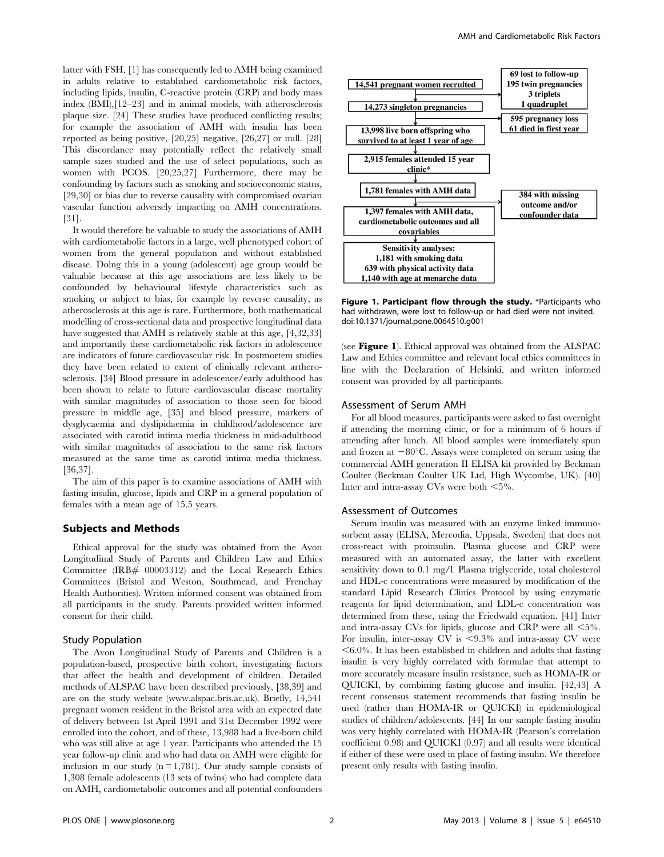latter with FSH, [1] has consequently led to AMH being examined in adults relative to established cardiometabolic risk factors, including lipids, insulin, C-reactive protein (CRP) and body mass index (BMI),[12–23] and in animal models, with atherosclerosis plaque size. [24] These studies have produced conflicting results; for example the association of AMH with insulin has been reported as being positive, [20,25] negative, [26,27] or null. [28] This discordance may potentially reflect the relatively small sample sizes studied and the use of select populations, such as women with PCOS. [20,25,27] Furthermore, there may be confounding by factors such as smoking and socioeconomic status, [29,30] or bias due to reverse causality with compromised ovarian vascular function adversely impacting on AMH concentrations. [31].

It would therefore be valuable to study the associations of AMH with cardiometabolic factors in a large, well phenotyped cohort of women from the general population and without established disease. Doing this in a young (adolescent) age group would be valuable because at this age associations are less likely to be confounded by behavioural lifestyle characteristics such as smoking or subject to bias, for example by reverse causality, as atherosclerosis at this age is rare. Furthermore, both mathematical modelling of cross-sectional data and prospective longitudinal data have suggested that AMH is relatively stable at this age, [4,32,33] and importantly these cardiometabolic risk factors in adolescence are indicators of future cardiovascular risk. In postmortem studies they have been related to extent of clinically relevant artherosclerosis. [34] Blood pressure in adolescence/early adulthood has been shown to relate to future cardiovascular disease mortality with similar magnitudes of association to those seen for blood pressure in middle age, [35] and blood pressure, markers of dysglycaemia and dyslipidaemia in childhood/adolescence are associated with carotid intima media thickness in mid-adulthood with similar magnitudes of association to the same risk factors measured at the same time as carotid intima media thickness. [36,37].

The aim of this paper is to examine associations of AMH with fasting insulin, glucose, lipids and CRP in a general population of females with a mean age of 15.5 years.

## Subjects and Methods

Ethical approval for the study was obtained from the Avon Longitudinal Study of Parents and Children Law and Ethics Committee (IRB# 00003312) and the Local Research Ethics Committees (Bristol and Weston, Southmead, and Frenchay Health Authorities). Written informed consent was obtained from all participants in the study. Parents provided written informed consent for their child.

## Study Population

The Avon Longitudinal Study of Parents and Children is a population-based, prospective birth cohort, investigating factors that affect the health and development of children. Detailed methods of ALSPAC have been described previously, [38,39] and are on the study website (www.alspac.bris.ac.uk). Briefly, 14,541 pregnant women resident in the Bristol area with an expected date of delivery between 1st April 1991 and 31st December 1992 were enrolled into the cohort, and of these, 13,988 had a live-born child who was still alive at age 1 year. Participants who attended the 15 year follow-up clinic and who had data on AMH were eligible for inclusion in our study  $(n = 1,781)$ . Our study sample consists of 1,308 female adolescents (13 sets of twins) who had complete data on AMH, cardiometabolic outcomes and all potential confounders



Figure 1. Participant flow through the study. \*Participants who had withdrawn, were lost to follow-up or had died were not invited. doi:10.1371/journal.pone.0064510.g001

(see **Figure 1**). Ethical approval was obtained from the ALSPAC Law and Ethics committee and relevant local ethics committees in line with the Declaration of Helsinki, and written informed consent was provided by all participants.

#### Assessment of Serum AMH

For all blood measures, participants were asked to fast overnight if attending the morning clinic, or for a minimum of 6 hours if attending after lunch. All blood samples were immediately spun and frozen at  $-80^{\circ}$ C. Assays were completed on serum using the commercial AMH generation II ELISA kit provided by Beckman Coulter (Beckman Coulter UK Ltd, High Wycombe, UK). [40] Inter and intra-assay CVs were both  $\leq 5\%$ .

#### Assessment of Outcomes

Serum insulin was measured with an enzyme linked immunosorbent assay (ELISA, Mercodia, Uppsala, Sweden) that does not cross-react with proinsulin. Plasma glucose and CRP were measured with an automated assay, the latter with excellent sensitivity down to 0.1 mg/l. Plasma triglyceride, total cholesterol and HDL-c concentrations were measured by modification of the standard Lipid Research Clinics Protocol by using enzymatic reagents for lipid determination, and LDL-c concentration was determined from these, using the Friedwald equation. [41] Inter and intra-assay CVs for lipids, glucose and CRP were all  $\leq 5\%$ . For insulin, inter-assay CV is  $\langle 9.3\% \rangle$  and intra-assay CV were  $<$  6.0%. It has been established in children and adults that fasting insulin is very highly correlated with formulae that attempt to more accurately measure insulin resistance, such as HOMA-IR or QUICKI, by combining fasting glucose and insulin. [42,43] A recent consensus statement recommends that fasting insulin be used (rather than HOMA-IR or QUICKI) in epidemiological studies of children/adolescents. [44] In our sample fasting insulin was very highly correlated with HOMA-IR (Pearson's correlation coefficient 0.98) and QUICKI (0.97) and all results were identical if either of these were used in place of fasting insulin. We therefore present only results with fasting insulin.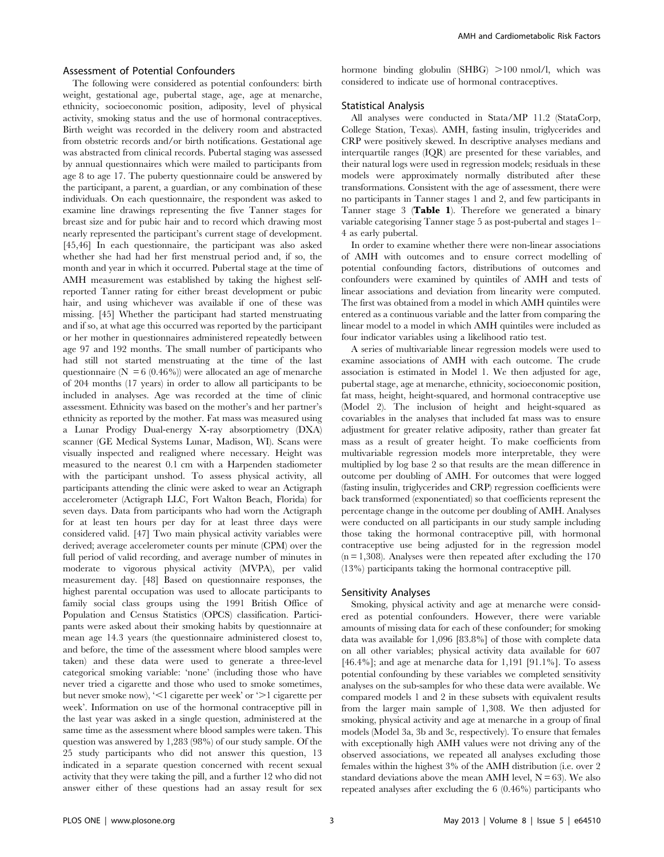## Assessment of Potential Confounders

The following were considered as potential confounders: birth weight, gestational age, pubertal stage, age, age at menarche, ethnicity, socioeconomic position, adiposity, level of physical activity, smoking status and the use of hormonal contraceptives. Birth weight was recorded in the delivery room and abstracted from obstetric records and/or birth notifications. Gestational age was abstracted from clinical records. Pubertal staging was assessed by annual questionnaires which were mailed to participants from age 8 to age 17. The puberty questionnaire could be answered by the participant, a parent, a guardian, or any combination of these individuals. On each questionnaire, the respondent was asked to examine line drawings representing the five Tanner stages for breast size and for pubic hair and to record which drawing most nearly represented the participant's current stage of development. [45,46] In each questionnaire, the participant was also asked whether she had had her first menstrual period and, if so, the month and year in which it occurred. Pubertal stage at the time of AMH measurement was established by taking the highest selfreported Tanner rating for either breast development or pubic hair, and using whichever was available if one of these was missing. [45] Whether the participant had started menstruating and if so, at what age this occurred was reported by the participant or her mother in questionnaires administered repeatedly between age 97 and 192 months. The small number of participants who had still not started menstruating at the time of the last questionnaire ( $N = 6 (0.46\%)$ ) were allocated an age of menarche of 204 months (17 years) in order to allow all participants to be included in analyses. Age was recorded at the time of clinic assessment. Ethnicity was based on the mother's and her partner's ethnicity as reported by the mother. Fat mass was measured using a Lunar Prodigy Dual-energy X-ray absorptiometry (DXA) scanner (GE Medical Systems Lunar, Madison, WI). Scans were visually inspected and realigned where necessary. Height was measured to the nearest 0.1 cm with a Harpenden stadiometer with the participant unshod. To assess physical activity, all participants attending the clinic were asked to wear an Actigraph accelerometer (Actigraph LLC, Fort Walton Beach, Florida) for seven days. Data from participants who had worn the Actigraph for at least ten hours per day for at least three days were considered valid. [47] Two main physical activity variables were derived; average accelerometer counts per minute (CPM) over the full period of valid recording, and average number of minutes in moderate to vigorous physical activity (MVPA), per valid measurement day. [48] Based on questionnaire responses, the highest parental occupation was used to allocate participants to family social class groups using the 1991 British Office of Population and Census Statistics (OPCS) classification. Participants were asked about their smoking habits by questionnaire at mean age 14.3 years (the questionnaire administered closest to, and before, the time of the assessment where blood samples were taken) and these data were used to generate a three-level categorical smoking variable: 'none' (including those who have never tried a cigarette and those who used to smoke sometimes, but never smoke now), ' $\leq 1$  cigarette per week' or ' $\geq 1$  cigarette per week'. Information on use of the hormonal contraceptive pill in the last year was asked in a single question, administered at the same time as the assessment where blood samples were taken. This question was answered by 1,283 (98%) of our study sample. Of the 25 study participants who did not answer this question, 13 indicated in a separate question concerned with recent sexual activity that they were taking the pill, and a further 12 who did not answer either of these questions had an assay result for sex

hormone binding globulin  $(SHBG) >100$  nmol/l, which was considered to indicate use of hormonal contraceptives.

#### Statistical Analysis

All analyses were conducted in Stata/MP 11.2 (StataCorp, College Station, Texas). AMH, fasting insulin, triglycerides and CRP were positively skewed. In descriptive analyses medians and interquartile ranges (IQR) are presented for these variables, and their natural logs were used in regression models; residuals in these models were approximately normally distributed after these transformations. Consistent with the age of assessment, there were no participants in Tanner stages 1 and 2, and few participants in Tanner stage 3 (Table 1). Therefore we generated a binary variable categorising Tanner stage 5 as post-pubertal and stages 1– 4 as early pubertal.

In order to examine whether there were non-linear associations of AMH with outcomes and to ensure correct modelling of potential confounding factors, distributions of outcomes and confounders were examined by quintiles of AMH and tests of linear associations and deviation from linearity were computed. The first was obtained from a model in which AMH quintiles were entered as a continuous variable and the latter from comparing the linear model to a model in which AMH quintiles were included as four indicator variables using a likelihood ratio test.

A series of multivariable linear regression models were used to examine associations of AMH with each outcome. The crude association is estimated in Model 1. We then adjusted for age, pubertal stage, age at menarche, ethnicity, socioeconomic position, fat mass, height, height-squared, and hormonal contraceptive use (Model 2). The inclusion of height and height-squared as covariables in the analyses that included fat mass was to ensure adjustment for greater relative adiposity, rather than greater fat mass as a result of greater height. To make coefficients from multivariable regression models more interpretable, they were multiplied by log base 2 so that results are the mean difference in outcome per doubling of AMH. For outcomes that were logged (fasting insulin, triglycerides and CRP) regression coefficients were back transformed (exponentiated) so that coefficients represent the percentage change in the outcome per doubling of AMH. Analyses were conducted on all participants in our study sample including those taking the hormonal contraceptive pill, with hormonal contraceptive use being adjusted for in the regression model  $(n = 1,308)$ . Analyses were then repeated after excluding the 170 (13%) participants taking the hormonal contraceptive pill.

#### Sensitivity Analyses

Smoking, physical activity and age at menarche were considered as potential confounders. However, there were variable amounts of missing data for each of these confounder; for smoking data was available for 1,096 [83.8%] of those with complete data on all other variables; physical activity data available for 607 [46.4%]; and age at menarche data for 1,191 [91.1%]. To assess potential confounding by these variables we completed sensitivity analyses on the sub-samples for who these data were available. We compared models 1 and 2 in these subsets with equivalent results from the larger main sample of 1,308. We then adjusted for smoking, physical activity and age at menarche in a group of final models (Model 3a, 3b and 3c, respectively). To ensure that females with exceptionally high AMH values were not driving any of the observed associations, we repeated all analyses excluding those females within the highest 3% of the AMH distribution (i.e. over 2 standard deviations above the mean AMH level,  $N = 63$ ). We also repeated analyses after excluding the 6 (0.46%) participants who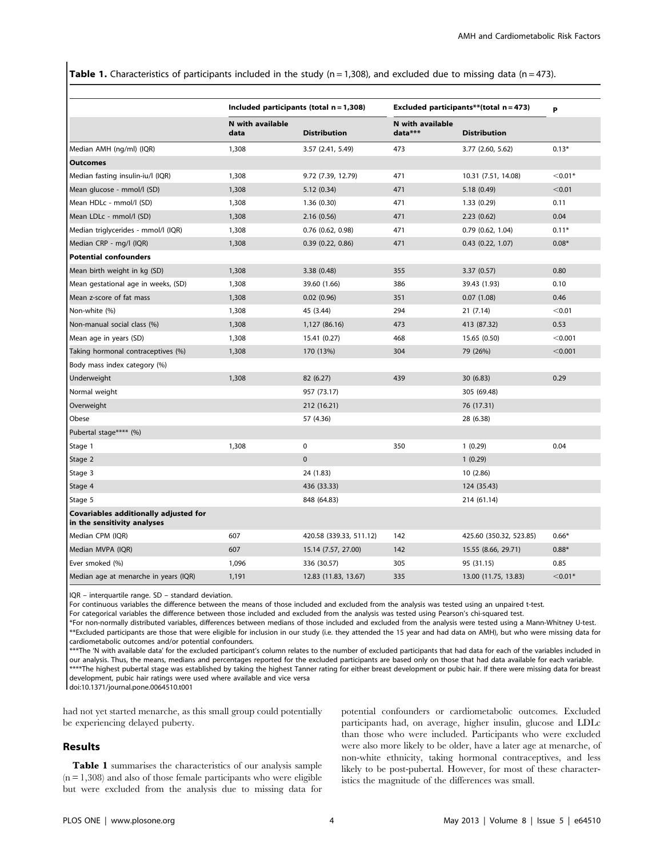**Table 1.** Characteristics of participants included in the study ( $n = 1,308$ ), and excluded due to missing data ( $n = 473$ ).

|                                                                      |                          | Included participants (total $n = 1,308$ ) |                             | Excluded participants**(total $n = 473$ ) |           |
|----------------------------------------------------------------------|--------------------------|--------------------------------------------|-----------------------------|-------------------------------------------|-----------|
|                                                                      |                          |                                            |                             |                                           | P         |
|                                                                      | N with available<br>data | <b>Distribution</b>                        | N with available<br>data*** | <b>Distribution</b>                       |           |
| Median AMH (ng/ml) (IQR)                                             | 1,308                    | 3.57 (2.41, 5.49)                          | 473                         | 3.77 (2.60, 5.62)                         | $0.13*$   |
| <b>Outcomes</b>                                                      |                          |                                            |                             |                                           |           |
| Median fasting insulin-iu/l (IQR)                                    | 1,308                    | 9.72 (7.39, 12.79)                         | 471                         | 10.31 (7.51, 14.08)                       | $< 0.01*$ |
| Mean glucose - mmol/l (SD)                                           | 1,308                    | 5.12(0.34)                                 | 471                         | 5.18 (0.49)                               | < 0.01    |
| Mean HDLc - mmol/l (SD)                                              | 1,308                    | 1.36(0.30)                                 | 471                         | 1.33(0.29)                                | 0.11      |
| Mean LDLc - mmol/l (SD)                                              | 1,308                    | 2.16(0.56)                                 | 471                         | 2.23(0.62)                                | 0.04      |
| Median triglycerides - mmol/l (IQR)                                  | 1,308                    | $0.76$ $(0.62, 0.98)$                      | 471                         | $0.79$ $(0.62, 1.04)$                     | $0.11*$   |
| Median CRP - mg/l (IQR)                                              | 1,308                    | 0.39(0.22, 0.86)                           | 471                         | $0.43$ $(0.22, 1.07)$                     | $0.08*$   |
| <b>Potential confounders</b>                                         |                          |                                            |                             |                                           |           |
| Mean birth weight in kg (SD)                                         | 1,308                    | 3.38(0.48)                                 | 355                         | 3.37(0.57)                                | 0.80      |
| Mean gestational age in weeks, (SD)                                  | 1,308                    | 39.60 (1.66)                               | 386                         | 39.43 (1.93)                              | 0.10      |
| Mean z-score of fat mass                                             | 1,308                    | 0.02(0.96)                                 | 351                         | 0.07(1.08)                                | 0.46      |
| Non-white (%)                                                        | 1,308                    | 45 (3.44)                                  | 294                         | 21(7.14)                                  | < 0.01    |
| Non-manual social class (%)                                          | 1,308                    | 1,127 (86.16)                              | 473                         | 413 (87.32)                               | 0.53      |
| Mean age in years (SD)                                               | 1,308                    | 15.41 (0.27)                               | 468                         | 15.65 (0.50)                              | < 0.001   |
| Taking hormonal contraceptives (%)                                   | 1,308                    | 170 (13%)                                  | 304                         | 79 (26%)                                  | < 0.001   |
| Body mass index category (%)                                         |                          |                                            |                             |                                           |           |
| Underweight                                                          | 1,308                    | 82 (6.27)                                  | 439                         | 30 (6.83)                                 | 0.29      |
| Normal weight                                                        |                          | 957 (73.17)                                |                             | 305 (69.48)                               |           |
| Overweight                                                           |                          | 212 (16.21)                                |                             | 76 (17.31)                                |           |
| Obese                                                                |                          | 57 (4.36)                                  |                             | 28 (6.38)                                 |           |
| Pubertal stage**** (%)                                               |                          |                                            |                             |                                           |           |
| Stage 1                                                              | 1,308                    | $\mathbf 0$                                | 350                         | 1(0.29)                                   | 0.04      |
| Stage 2                                                              |                          | $\mathbf{0}$                               |                             | 1(0.29)                                   |           |
| Stage 3                                                              |                          | 24 (1.83)                                  |                             | 10(2.86)                                  |           |
| Stage 4                                                              |                          | 436 (33.33)                                |                             | 124 (35.43)                               |           |
| Stage 5                                                              |                          | 848 (64.83)                                |                             | 214 (61.14)                               |           |
| Covariables additionally adjusted for<br>in the sensitivity analyses |                          |                                            |                             |                                           |           |
| Median CPM (IQR)                                                     | 607                      | 420.58 (339.33, 511.12)                    | 142                         | 425.60 (350.32, 523.85)                   | $0.66*$   |
| Median MVPA (IQR)                                                    | 607                      | 15.14 (7.57, 27.00)                        | 142                         | 15.55 (8.66, 29.71)                       | $0.88*$   |
| Ever smoked (%)                                                      | 1,096                    | 336 (30.57)                                | 305                         | 95 (31.15)                                | 0.85      |
| Median age at menarche in years (IQR)                                | 1,191                    | 12.83 (11.83, 13.67)                       | 335                         | 13.00 (11.75, 13.83)                      | $< 0.01*$ |

IQR – interquartile range. SD – standard deviation.

For continuous variables the difference between the means of those included and excluded from the analysis was tested using an unpaired t-test.

For categorical variables the difference between those included and excluded from the analysis was tested using Pearson's chi-squared test.

\*For non-normally distributed variables, differences between medians of those included and excluded from the analysis were tested using a Mann-Whitney U-test. \*\*Excluded participants are those that were eligible for inclusion in our study (i.e. they attended the 15 year and had data on AMH), but who were missing data for cardiometabolic outcomes and/or potential confounders.

\*\*\*The 'N with available data' for the excluded participant's column relates to the number of excluded participants that had data for each of the variables included in our analysis. Thus, the means, medians and percentages reported for the excluded participants are based only on those that had data available for each variable. \*\*\*\*The highest pubertal stage was established by taking the highest Tanner rating for either breast development or pubic hair. If there were missing data for breast development, pubic hair ratings were used where available and vice versa

doi:10.1371/journal.pone.0064510.t001

had not yet started menarche, as this small group could potentially be experiencing delayed puberty.

#### Results

Table 1 summarises the characteristics of our analysis sample  $(n = 1,308)$  and also of those female participants who were eligible but were excluded from the analysis due to missing data for

potential confounders or cardiometabolic outcomes. Excluded participants had, on average, higher insulin, glucose and LDLc than those who were included. Participants who were excluded were also more likely to be older, have a later age at menarche, of non-white ethnicity, taking hormonal contraceptives, and less likely to be post-pubertal. However, for most of these characteristics the magnitude of the differences was small.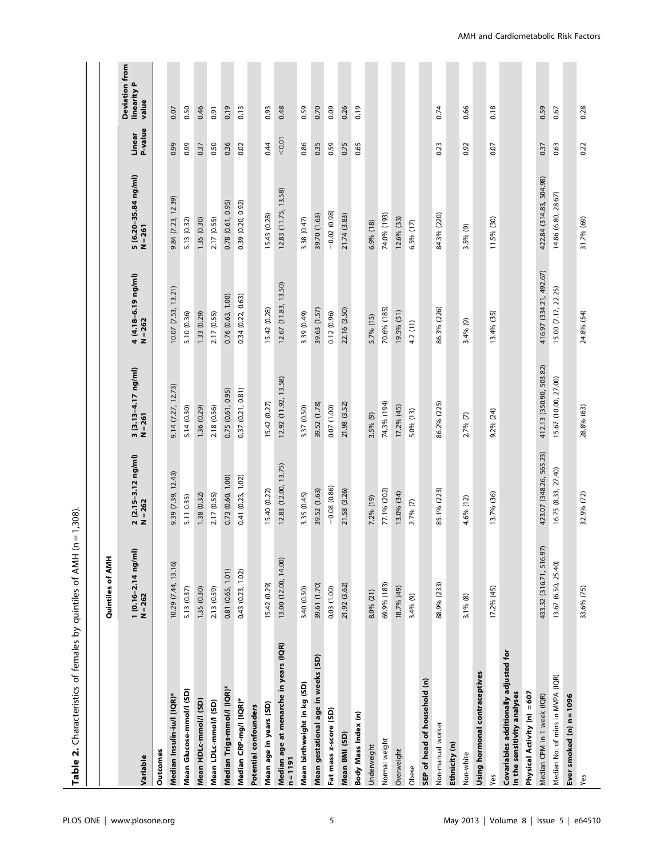| Table 2. Characteristics of females by quintiles of AMH (n           |                                             | $= 1,308$                        |                                  |                                  |                                   |                   |                                               |
|----------------------------------------------------------------------|---------------------------------------------|----------------------------------|----------------------------------|----------------------------------|-----------------------------------|-------------------|-----------------------------------------------|
|                                                                      |                                             |                                  |                                  |                                  |                                   |                   |                                               |
|                                                                      | Quintiles of AMH                            |                                  |                                  |                                  |                                   |                   |                                               |
| Variable                                                             | $1(0.16 - 2.14 \text{ ng/ml})$<br>$N = 262$ | 2 (2.15-3.12 ng/ml)<br>$N = 262$ | 3 (3.13-4.17 ng/ml)<br>$N = 261$ | 4 (4.18-6.19 ng/ml)<br>$N = 262$ | 5 (6.20-35.84 ng/ml)<br>$N = 261$ | P-value<br>Linear | <b>Deviation from</b><br>linearity P<br>value |
| Outcomes                                                             |                                             |                                  |                                  |                                  |                                   |                   |                                               |
| Median Insulin-iu/l (IQR)*                                           | 10.29 (7.44, 13.16)                         | 9.39 (7.39, 12.43)               | 9.14 (7.27, 12.73)               | 10.07 (7.53, 13.21)              | 9.84 (7.23, 12.39)                | 0.99              | 0.07                                          |
| Mean Glucose-mmol/I (SD)                                             | 5.13 (0.37)                                 | 5.11 0.35)                       | 5.14 (0.30)                      | 5.10 (0.36)                      | 5.13 (0.32)                       | 0.99              | 0.50                                          |
| Mean HDLc-mmol/I (SD)                                                | 1.35 (0.30)                                 | 1.38 (0.32)                      | 1.36 (0.29)                      | 1.33 (0.29)                      | 1.35 (0.30)                       | 0.37              | 0.46                                          |
| Mean LDLc-mmol/I (SD)                                                | 2.13 (0.59)                                 | 2.17 (0.55)                      | 2.18 (0.56)                      | 2.17 (0.55)                      | 2.17 (0.55)                       | 0.50              | 0.91                                          |
| Median Trigs-mmol/l (IQR)*                                           | 0.81 (0.65, 1.01)                           | 0.73 (0.60, 1.00)                | 0.75 (0.61, 0.95)                | 0.76 (0.63, 1.00)                | 0.78 (0.61, 0.95)                 | 0.36              | 0.19                                          |
| Median CRP-mg/l (IQR)*                                               | 0.43(0.23, 1.02)                            | 0.41 (0.23, 1.02)                | $0.37$ $(0.21, 0.81)$            | 0.34 (0.22, 0.63)                | 0.39 (0.20, 0.92)                 | 0.02              | 0.13                                          |
| Potential confounders                                                |                                             |                                  |                                  |                                  |                                   |                   |                                               |
| Mean age in years (SD)                                               | 15.42 (0.29)                                | 15.40 (0.22)                     | 15.42 (0.27)                     | 15.42 (0.28)                     | 15.43 (0.28)                      | 0.44              | 0.93                                          |
| Median age at menarche in years (IQR)<br>$n = 1191$                  | 13.00 (12.00, 14.00)                        | 12.83 (12.00, 13.75)             | 12.92 (11.92, 13.58)             | 12.67 (11.83, 13.50)             | 12.83 (11.75, 13.58)              | < 0.01            | 0.48                                          |
| Mean birthweight in kg (SD)                                          | 3.40 (0.50)                                 | 3.35 (0.45)                      | 3.37 (0.50)                      | 3.39 (0.49)                      | 3.38 (0.47)                       | 0.86              | 0.59                                          |
| Mean gestational age in weeks (SD)                                   | 39.61 (1.70)                                | 39.52 (1.63)                     | 39.52 (1.78)                     | 39.63 (1.57)                     | 39.70 (1.63)                      | 0.35              | 0.70                                          |
| Fat mass z-score (SD)                                                | 0.03(1.00)                                  | $-0.08(0.86)$                    | 0.07(1.00)                       | 0.12(0.96)                       | $-0.02(0.98)$                     | 0.59              | 0.09                                          |
| Mean BMI (SD)                                                        | 21.92 (3.62)                                | 21.58 (3.26)                     | 21.98 (3.52)                     | 22.16 (3.50)                     | 21.74 (3.83)                      | 0.75              | 0.26                                          |
| Body Mass Index (n)                                                  |                                             |                                  |                                  |                                  |                                   | 0.65              | 0.19                                          |
| Underweight                                                          | 8.0% (21)                                   | 7.2% (19)                        | 3.5% (9)                         | 5.7% (15)                        | 6.9% (18)                         |                   |                                               |
| Normal weight                                                        | 69.9% (183)                                 | 77.1% (202)                      | 74.3% (194)                      | 70.6% (185)                      | 74.0% (193)                       |                   |                                               |
| Overweight                                                           | 18.7% (49)                                  | 13.0% (34)                       | 17.2% (45)                       | 19.5% (51)                       | 12.6% (33)                        |                   |                                               |
| Obese                                                                | 3.4% (9)                                    | $2.7%$ (7)                       | 5.0% (13)                        | 4.2 (11)                         | 6.5% (17)                         |                   |                                               |
| SEP of head of household (n)                                         |                                             |                                  |                                  |                                  |                                   |                   |                                               |
| Non-manual worker                                                    | 88.9% (233)                                 | 85.1% (223)                      | 86.2% (225)                      | 86.3% (226)                      | 84.3% (220)                       | 0.23              | 0.74                                          |
| Ethnicity (n)                                                        |                                             |                                  |                                  |                                  |                                   |                   |                                               |
| Non-white                                                            | 3.1% (8)                                    | 4.6% (12)                        | $2.7%$ (7)                       | 3.4% (9)                         | 3.5% (9)                          | 0.92              | 0.66                                          |
| Using hormonal contraceptives                                        |                                             |                                  |                                  |                                  |                                   |                   |                                               |
| Yes                                                                  | 17.2% (45)                                  | 13.7% (36)                       | 9.2% (24)                        | 13.4% (35)                       | 11.5% (30)                        | 0.07              | 0.18                                          |
| Covariables additionally adjusted for<br>in the sensitivity analyses |                                             |                                  |                                  |                                  |                                   |                   |                                               |
| Physical Activity (n) =607                                           |                                             |                                  |                                  |                                  |                                   |                   |                                               |
| Median CPM in 1 week (IQR)                                           | 433.32 (316.71, 516.97)                     | 423.07 (348.26, 565.23)          | 412.13 (350.90, 503.82)          | 416.97 (334.21, 492.67)          | 422.84 (314.83, 504.98)           | 0.37              | 0.59                                          |
| Median No. of mins in MVPA (IQR)                                     | 13.67 (6.50, 25.40)                         | 16.75 (8.33, 27.40)              | 15.67 (10.00, 27.00)             | 15.00 (7.17, 22.25)              | 14.86 (6.80, 28.67)               | 0.63              | 0.67                                          |
| Ever smoked (n) n = 1096                                             |                                             |                                  |                                  |                                  |                                   |                   |                                               |
| Yes                                                                  | 33.6% (75)                                  | 32.9% (72)                       | 28.8% (63)                       | 24.8% (54)                       | 31.7% (69)                        | 0.22              | 0.28                                          |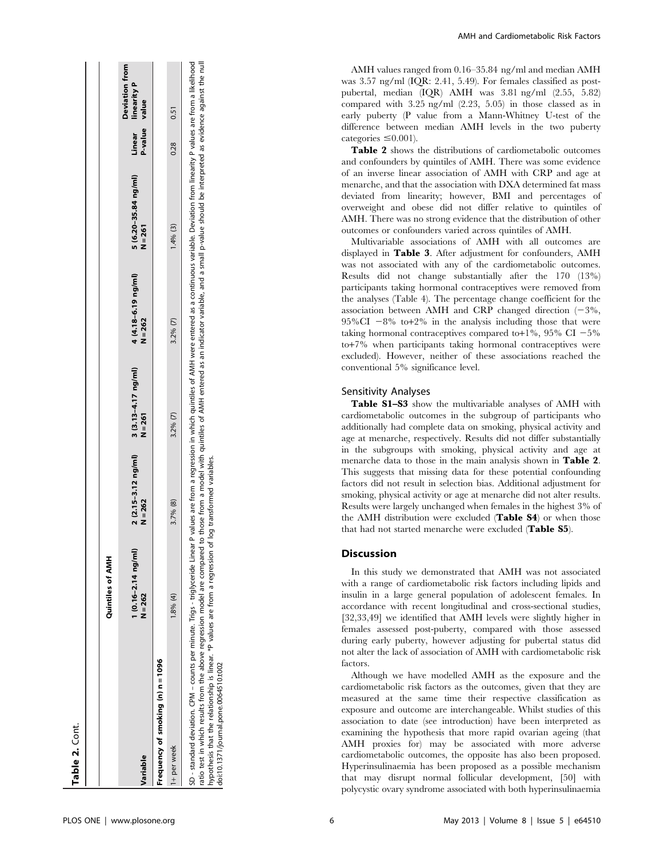|                                                                                                                                                                                                                                                                                                                                                                                                                         | Quintiles of AMH                            |                                  |                                    |                                  |                                                                                                                                                      |                   |                                               |
|-------------------------------------------------------------------------------------------------------------------------------------------------------------------------------------------------------------------------------------------------------------------------------------------------------------------------------------------------------------------------------------------------------------------------|---------------------------------------------|----------------------------------|------------------------------------|----------------------------------|------------------------------------------------------------------------------------------------------------------------------------------------------|-------------------|-----------------------------------------------|
| Variable                                                                                                                                                                                                                                                                                                                                                                                                                | $1(0.16 - 2.14 \text{ ng/ml})$<br>$N = 262$ | 2 (2.15-3.12 ng/ml)<br>$N = 262$ | $3(3.13-4.17)$ ng/ml)<br>$N = 261$ | 4 (4.18-6.19 ng/ml)<br>$N = 262$ | 5 (6.20-35.84 ng/ml)<br>$N = 261$                                                                                                                    | P-value<br>Linear | <b>Deviation from</b><br>linearity P<br>value |
| Frequency of smoking (n) n = 1096                                                                                                                                                                                                                                                                                                                                                                                       |                                             |                                  |                                    |                                  |                                                                                                                                                      |                   |                                               |
| 1+ per week                                                                                                                                                                                                                                                                                                                                                                                                             | 1.8% (4)                                    | 3.7% (8)                         | $3.2%$ $(7)$                       | $3.2%$ (7)                       | $1.4%$ (3)                                                                                                                                           | 0.28              | 0.51                                          |
| SD - standard deviation. CPM – counts per minute. Trigs – trigsyceride Linear P values are from a regression in which quintiles of AMH were entered as a continuous variable. Deviation from linearity P values are from a lik<br>hypothesis that the relationship is linear. *P values are from a regression of log transformed variables.<br>ratio test in which results from the above regression model are compared |                                             |                                  |                                    |                                  | to those from a model with quintiles of AMH entered as an indicator variable, and a small p-value should be interpreted as evidence against the null |                   |                                               |

doi:10.1371/journal.pone.0064510.t002 doi:10.1371/journal.pone.0064510.t002 AMH and Cardiometabolic Risk Factors

AMH values ranged from 0.16–35.84 ng/ml and median AMH was 3.57 ng/ml (IQR: 2.41, 5.49). For females classified as postpubertal, median (IQR) AMH was 3.81 ng/ml (2.55, 5.82) compared with 3.25 ng/ml (2.23, 5.05) in those classed as in early puberty (P value from a Mann-Whitney U-test of the difference between median AMH levels in the two puberty categories  $\leq 0.001$ ).

Table 2 shows the distributions of cardiometabolic outcomes and confounders by quintiles of AMH. There was some evidence of an inverse linear association of AMH with CRP and age at menarche, and that the association with DXA determined fat mass deviated from linearity; however, BMI and percentages of overweight and obese did not differ relative to quintiles of AMH. There was no strong evidence that the distribution of other outcomes or confounders varied across quintiles of AMH.

Multivariable associations of AMH with all outcomes are displayed in Table 3. After adjustment for confounders, AMH was not associated with any of the cardiometabolic outcomes. Results did not change substantially after the 170 (13%) participants taking hormonal contraceptives were removed from the analyses (Table 4). The percentage change coefficient for the association between AMH and CRP changed direction  $(-3\%,$  $95\% \text{CI} - 8\%$  to  $+2\%$  in the analysis including those that were taking hormonal contraceptives compared to +1%, 95% CI  $-5\%$ to+7% when participants taking hormonal contraceptives were excluded). However, neither of these associations reached the conventional 5% significance level.

## Sensitivity Analyses

Table S1–S3 show the multivariable analyses of AMH with cardiometabolic outcomes in the subgroup of participants who additionally had complete data on smoking, physical activity and age at menarche, respectively. Results did not differ substantially in the subgroups with smoking, physical activity and age at menarche data to those in the main analysis shown in Table 2. This suggests that missing data for these potential confounding factors did not result in selection bias. Additional adjustment for smoking, physical activity or age at menarche did not alter results. Results were largely unchanged when females in the highest 3% of the AMH distribution were excluded (Table S4) or when those that had not started menarche were excluded (Table S5).

## Discussion

In this study we demonstrated that AMH was not associated with a range of cardiometabolic risk factors including lipids and insulin in a large general population of adolescent females. In accordance with recent longitudinal and cross-sectional studies, [32,33,49] we identified that AMH levels were slightly higher in females assessed post-puberty, compared with those assessed during early puberty, however adjusting for pubertal status did not alter the lack of association of AMH with cardiometabolic risk factors.

Although we have modelled AMH as the exposure and the cardiometabolic risk factors as the outcomes, given that they are measured at the same time their respective classification as exposure and outcome are interchangeable. Whilst studies of this association to date (see introduction) have been interpreted as examining the hypothesis that more rapid ovarian ageing (that AMH proxies for) may be associated with more adverse cardiometabolic outcomes, the opposite has also been proposed. Hyperinsulinaemia has been proposed as a possible mechanism that may disrupt normal follicular development, [50] with polycystic ovary syndrome associated with both hyperinsulinaemia

Table 2. Cont.

Table 2. Cont.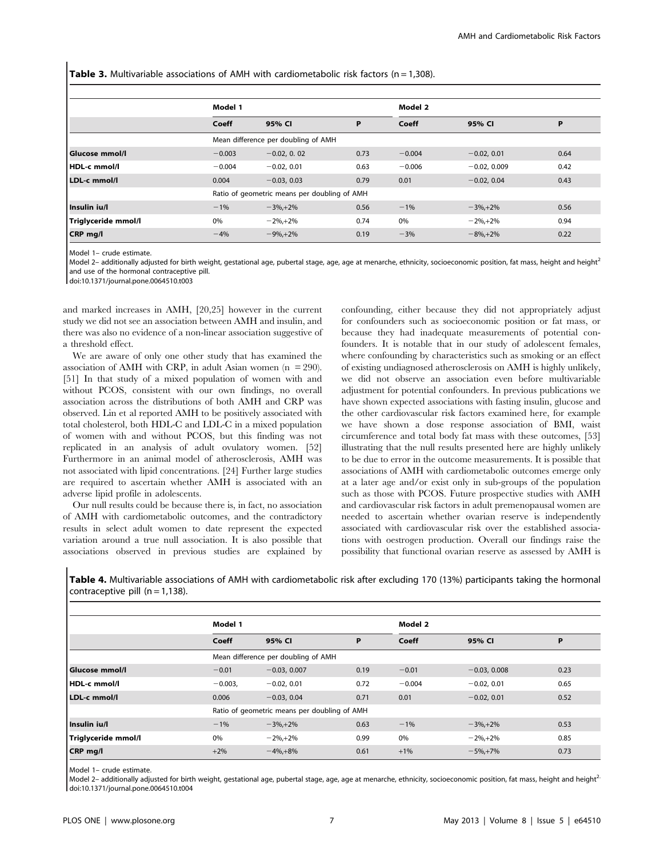**Table 3.** Multivariable associations of AMH with cardiometabolic risk factors ( $n = 1,308$ ).

|                       | Model 1  |                                              |      | Model 2  |                |      |  |  |
|-----------------------|----------|----------------------------------------------|------|----------|----------------|------|--|--|
|                       |          |                                              |      |          |                |      |  |  |
|                       | Coeff    | 95% CI                                       | P    | Coeff    | 95% CI         | Р    |  |  |
|                       |          | Mean difference per doubling of AMH          |      |          |                |      |  |  |
| <b>Glucose mmol/l</b> | $-0.003$ | $-0.02, 0.02$                                | 0.73 | $-0.004$ | $-0.02, 0.01$  | 0.64 |  |  |
| HDL-c mmol/l          | $-0.004$ | $-0.02, 0.01$                                | 0.63 | $-0.006$ | $-0.02, 0.009$ | 0.42 |  |  |
| LDL-c mmol/l          | 0.004    | $-0.03, 0.03$                                | 0.79 | 0.01     | $-0.02, 0.04$  | 0.43 |  |  |
|                       |          | Ratio of geometric means per doubling of AMH |      |          |                |      |  |  |
| Insulin ju/l          | $-1%$    | $-3\% + 2\%$                                 | 0.56 | $-1%$    | $-3\% + 2\%$   | 0.56 |  |  |
| Triglyceride mmol/l   | 0%       | $-2\% + 2\%$                                 | 0.74 | 0%       | $-2\% + 2\%$   | 0.94 |  |  |
| CRP mg/l              | $-4%$    | $-9\% + 2\%$                                 | 0.19 | $-3%$    | $-8\% + 2\%$   | 0.22 |  |  |

Model 1– crude estimate.

Model 2- additionally adjusted for birth weight, gestational age, pubertal stage, age, age at menarche, ethnicity, socioeconomic position, fat mass, height and height<sup>2</sup> and use of the hormonal contraceptive pill.

doi:10.1371/journal.pone.0064510.t003

and marked increases in AMH, [20,25] however in the current study we did not see an association between AMH and insulin, and there was also no evidence of a non-linear association suggestive of a threshold effect.

We are aware of only one other study that has examined the association of AMH with CRP, in adult Asian women  $(n = 290)$ . [51] In that study of a mixed population of women with and without PCOS, consistent with our own findings, no overall association across the distributions of both AMH and CRP was observed. Lin et al reported AMH to be positively associated with total cholesterol, both HDL-C and LDL-C in a mixed population of women with and without PCOS, but this finding was not replicated in an analysis of adult ovulatory women. [52] Furthermore in an animal model of atherosclerosis, AMH was not associated with lipid concentrations. [24] Further large studies are required to ascertain whether AMH is associated with an adverse lipid profile in adolescents.

Our null results could be because there is, in fact, no association of AMH with cardiometabolic outcomes, and the contradictory results in select adult women to date represent the expected variation around a true null association. It is also possible that associations observed in previous studies are explained by confounding, either because they did not appropriately adjust for confounders such as socioeconomic position or fat mass, or because they had inadequate measurements of potential confounders. It is notable that in our study of adolescent females, where confounding by characteristics such as smoking or an effect of existing undiagnosed atherosclerosis on AMH is highly unlikely, we did not observe an association even before multivariable adjustment for potential confounders. In previous publications we have shown expected associations with fasting insulin, glucose and the other cardiovascular risk factors examined here, for example we have shown a dose response association of BMI, waist circumference and total body fat mass with these outcomes, [53] illustrating that the null results presented here are highly unlikely to be due to error in the outcome measurements. It is possible that associations of AMH with cardiometabolic outcomes emerge only at a later age and/or exist only in sub-groups of the population such as those with PCOS. Future prospective studies with AMH and cardiovascular risk factors in adult premenopausal women are needed to ascertain whether ovarian reserve is independently associated with cardiovascular risk over the established associations with oestrogen production. Overall our findings raise the possibility that functional ovarian reserve as assessed by AMH is

Table 4. Multivariable associations of AMH with cardiometabolic risk after excluding 170 (13%) participants taking the hormonal contraceptive pill ( $n = 1,138$ ).

|                       | Model 1   |                                              |      | Model 2  |                |      |  |  |
|-----------------------|-----------|----------------------------------------------|------|----------|----------------|------|--|--|
|                       | Coeff     | 95% CI                                       | P    | Coeff    | 95% CI         | P    |  |  |
|                       |           | Mean difference per doubling of AMH          |      |          |                |      |  |  |
| <b>Glucose mmol/l</b> | $-0.01$   | $-0.03, 0.007$                               | 0.19 | $-0.01$  | $-0.03, 0.008$ | 0.23 |  |  |
| HDL-c mmol/l          | $-0.003,$ | $-0.02, 0.01$                                | 0.72 | $-0.004$ | $-0.02, 0.01$  | 0.65 |  |  |
| LDL-c mmol/l          | 0.006     | $-0.03, 0.04$                                | 0.71 | 0.01     | $-0.02, 0.01$  | 0.52 |  |  |
|                       |           | Ratio of geometric means per doubling of AMH |      |          |                |      |  |  |
| Insulin ju/l          | $-1%$     | $-3\% + 2\%$                                 | 0.63 | $-1%$    | $-3\% + 2\%$   | 0.53 |  |  |
| Triglyceride mmol/l   | 0%        | $-2\% + 2\%$                                 | 0.99 | 0%       | $-2\% + 2\%$   | 0.85 |  |  |
| CRP mg/l              | $+2%$     | $-4\% + 8\%$                                 | 0.61 | $+1%$    | $-5\% + 7\%$   | 0.73 |  |  |

Model 1– crude estimate.

Model 2- additionally adjusted for birth weight, gestational age, pubertal stage, age, age at menarche, ethnicity, socioeconomic position, fat mass, height and height<sup>2</sup> doi:10.1371/journal.pone.0064510.t004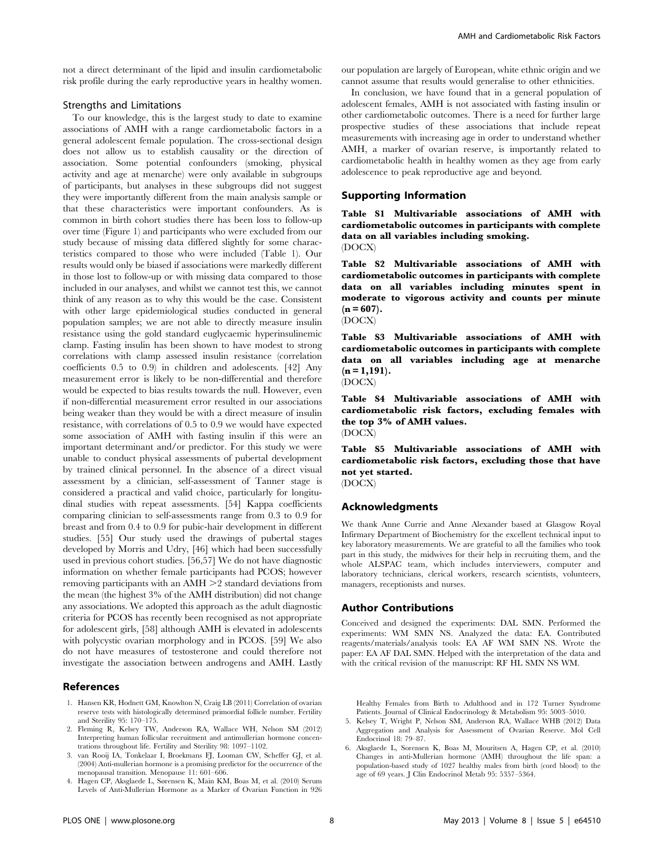not a direct determinant of the lipid and insulin cardiometabolic risk profile during the early reproductive years in healthy women.

## Strengths and Limitations

To our knowledge, this is the largest study to date to examine associations of AMH with a range cardiometabolic factors in a general adolescent female population. The cross-sectional design does not allow us to establish causality or the direction of association. Some potential confounders (smoking, physical activity and age at menarche) were only available in subgroups of participants, but analyses in these subgroups did not suggest they were importantly different from the main analysis sample or that these characteristics were important confounders. As is common in birth cohort studies there has been loss to follow-up over time (Figure 1) and participants who were excluded from our study because of missing data differed slightly for some characteristics compared to those who were included (Table 1). Our results would only be biased if associations were markedly different in those lost to follow-up or with missing data compared to those included in our analyses, and whilst we cannot test this, we cannot think of any reason as to why this would be the case. Consistent with other large epidemiological studies conducted in general population samples; we are not able to directly measure insulin resistance using the gold standard euglycaemic hyperinsulinemic clamp. Fasting insulin has been shown to have modest to strong correlations with clamp assessed insulin resistance (correlation coefficients 0.5 to 0.9) in children and adolescents. [42] Any measurement error is likely to be non-differential and therefore would be expected to bias results towards the null. However, even if non-differential measurement error resulted in our associations being weaker than they would be with a direct measure of insulin resistance, with correlations of 0.5 to 0.9 we would have expected some association of AMH with fasting insulin if this were an important determinant and/or predictor. For this study we were unable to conduct physical assessments of pubertal development by trained clinical personnel. In the absence of a direct visual assessment by a clinician, self-assessment of Tanner stage is considered a practical and valid choice, particularly for longitudinal studies with repeat assessments. [54] Kappa coefficients comparing clinician to self-assessments range from 0.3 to 0.9 for breast and from 0.4 to 0.9 for pubic-hair development in different studies. [55] Our study used the drawings of pubertal stages developed by Morris and Udry, [46] which had been successfully used in previous cohort studies. [56,57] We do not have diagnostic information on whether female participants had PCOS; however removing participants with an  $AMH > 2$  standard deviations from the mean (the highest 3% of the AMH distribution) did not change any associations. We adopted this approach as the adult diagnostic criteria for PCOS has recently been recognised as not appropriate for adolescent girls, [58] although AMH is elevated in adolescents with polycystic ovarian morphology and in PCOS. [59] We also do not have measures of testosterone and could therefore not investigate the association between androgens and AMH. Lastly

## References

- 1. Hansen KR, Hodnett GM, Knowlton N, Craig LB (2011) Correlation of ovarian reserve tests with histologically determined primordial follicle number. Fertility and Sterility 95: 170–175.
- 2. Fleming R, Kelsey TW, Anderson RA, Wallace WH, Nelson SM (2012) Interpreting human follicular recruitment and antimullerian hormone concentrations throughout life. Fertility and Sterility 98: 1097–1102.
- 3. van Rooij IA, Tonkelaar I, Broekmans FJ, Looman CW, Scheffer GJ, et al. (2004) Anti-mullerian hormone is a promising predictor for the occurrence of the menopausal transition. Menopause 11: 601–606.
- 4. Hagen CP, Aksglaede L, Sørensen K, Main KM, Boas M, et al. (2010) Serum Levels of Anti-Mullerian Hormone as a Marker of Ovarian Function in 926

our population are largely of European, white ethnic origin and we cannot assume that results would generalise to other ethnicities.

In conclusion, we have found that in a general population of adolescent females, AMH is not associated with fasting insulin or other cardiometabolic outcomes. There is a need for further large prospective studies of these associations that include repeat measurements with increasing age in order to understand whether AMH, a marker of ovarian reserve, is importantly related to cardiometabolic health in healthy women as they age from early adolescence to peak reproductive age and beyond.

#### Supporting Information

Table S1 Multivariable associations of AMH with cardiometabolic outcomes in participants with complete data on all variables including smoking. (DOCX)

Table S2 Multivariable associations of AMH with cardiometabolic outcomes in participants with complete data on all variables including minutes spent in moderate to vigorous activity and counts per minute  $(n = 607)$ .

(DOCX)

Table S3 Multivariable associations of AMH with cardiometabolic outcomes in participants with complete data on all variables including age at menarche  $(n = 1, 191)$ . (DOCX)

Table S4 Multivariable associations of AMH with cardiometabolic risk factors, excluding females with

the top 3% of AMH values. (DOCX)

Table S5 Multivariable associations of AMH with cardiometabolic risk factors, excluding those that have not yet started.

(DOCX)

#### Acknowledgments

We thank Anne Currie and Anne Alexander based at Glasgow Royal Infirmary Department of Biochemistry for the excellent technical input to key laboratory measurements. We are grateful to all the families who took part in this study, the midwives for their help in recruiting them, and the whole ALSPAC team, which includes interviewers, computer and laboratory technicians, clerical workers, research scientists, volunteers, managers, receptionists and nurses.

## Author Contributions

Conceived and designed the experiments: DAL SMN. Performed the experiments: WM SMN NS. Analyzed the data: EA. Contributed reagents/materials/analysis tools: EA AF WM SMN NS. Wrote the paper: EA AF DAL SMN. Helped with the interpretation of the data and with the critical revision of the manuscript: RF HL SMN NS WM.

Healthy Females from Birth to Adulthood and in 172 Turner Syndrome Patients. Journal of Clinical Endocrinology & Metabolism 95: 5003–5010.

- 5. Kelsey T, Wright P, Nelson SM, Anderson RA, Wallace WHB (2012) Data Aggregation and Analysis for Assessment of Ovarian Reserve. Mol Cell Endocrinol 18: 79–87.
- 6. Aksglaede L, Sorensen K, Boas M, Mouritsen A, Hagen CP, et al. (2010) Changes in anti-Mullerian hormone (AMH) throughout the life span: a population-based study of 1027 healthy males from birth (cord blood) to the age of 69 years. J Clin Endocrinol Metab 95: 5357–5364.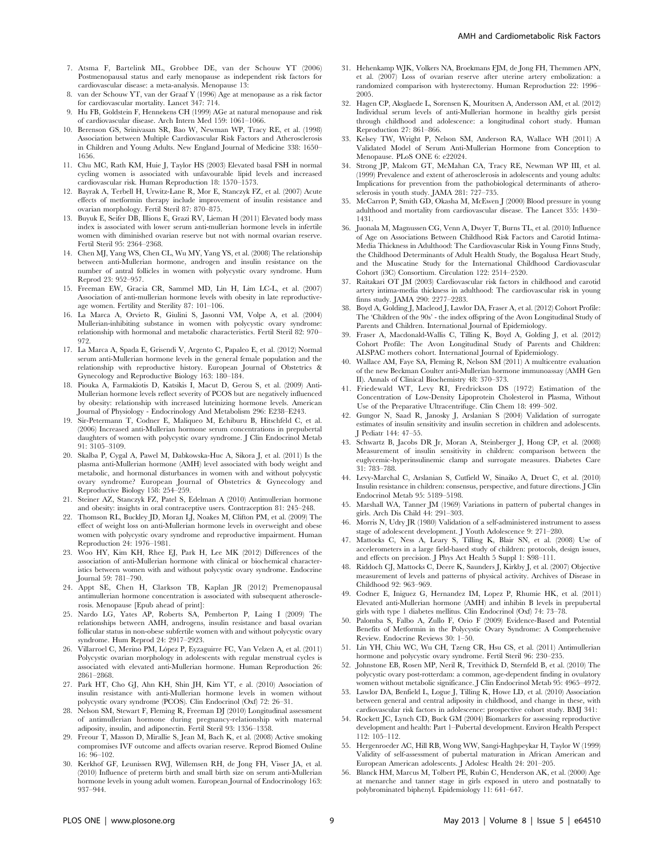- 7. Atsma F, Bartelink ML, Grobbee DE, van der Schouw YT (2006) Postmenopausal status and early menopause as independent risk factors for cardiovascular disease: a meta-analysis. Menopause 13:
- 8. van der Schouw YT, van der Graaf Y (1996) Age at menopause as a risk factor for cardiovascular mortality. Lancet 347: 714.
- 9. Hu FB, Goldstein F, Hennekens CH (1999) AGe at natural menopause and risk of cardiovascular disease. Arch Intern Med 159: 1061–1066.
- 10. Berenson GS, Srinivasan SR, Bao W, Newman WP, Tracy RE, et al. (1998) Association between Multiple Cardiovascular Risk Factors and Atherosclerosis in Children and Young Adults. New England Journal of Medicine 338: 1650– 1656.
- 11. Chu MC, Rath KM, Huie J, Taylor HS (2003) Elevated basal FSH in normal cycling women is associated with unfavourable lipid levels and increased cardiovascular risk. Human Reproduction 18: 1570–1573.
- 12. Bayrak A, Terbell H, Urwitz-Lane R, Mor E, Stanczyk FZ, et al. (2007) Acute effects of metformin therapy include improvement of insulin resistance and ovarian morphology. Fertil Steril 87: 870–875.
- 13. Buyuk E, Seifer DB, Illions E, Grazi RV, Lieman H (2011) Elevated body mass index is associated with lower serum anti-mullerian hormone levels in infertile women with diminished ovarian reserve but not with normal ovarian reserve. Fertil Steril 95: 2364–2368.
- 14. Chen MJ, Yang WS, Chen CL, Wu MY, Yang YS, et al. (2008) The relationship between anti-Mullerian hormone, androgen and insulin resistance on the number of antral follicles in women with polycystic ovary syndrome. Hum Reprod 23: 952–957.
- 15. Freeman EW, Gracia CR, Sammel MD, Lin H, Lim LC-L, et al. (2007) Association of anti-mullerian hormone levels with obesity in late reproductiveage women. Fertility and Sterility 87: 101–106.
- 16. La Marca A, Orvieto R, Giulini S, Jasonni VM, Volpe A, et al. (2004) Mullerian-inhibiting substance in women with polycystic ovary syndrome: relationship with hormonal and metabolic characteristics. Fertil Steril 82: 970– 972
- 17. La Marca A, Spada E, Grisendi V, Argento C, Papaleo E, et al. (2012) Normal serum anti-Mullerian hormone levels in the general female population and the relationship with reproductive history. European Journal of Obstetrics & Gynecology and Reproductive Biology 163: 180–184.
- 18. Piouka A, Farmakiotis D, Katsikis I, Macut D, Gerou S, et al. (2009) Anti-Mullerian hormone levels reflect severity of PCOS but are negatively influenced by obesity: relationship with increased luteinizing hormone levels. American Journal of Physiology - Endocrinology And Metabolism 296: E238–E243.
- 19. Sir-Petermann T, Codner E, Maliqueo M, Echiburu B, Hitschfeld C, et al. (2006) Increased anti-Mullerian hormone serum concentrations in prepubertal daughters of women with polycystic ovary syndrome. J Clin Endocrinol Metab 91: 3105–3109.
- 20. Skalba P, Cygal A, Pawel M, Dabkowska-Huc A, Sikora J, et al. (2011) Is the plasma anti-Mullerian hormone (AMH) level associated with body weight and metabolic, and hormonal disturbances in women with and without polycystic ovary syndrome? European Journal of Obstetrics & Gynecology and Reproductive Biology 158: 254–259.
- 21. Steiner AZ, Stanczyk FZ, Patel S, Edelman A (2010) Antimullerian hormone and obesity: insights in oral contraceptive users. Contraception 81: 245–248.
- 22. Thomson RL, Buckley JD, Moran LJ, Noakes M, Clifton PM, et al. (2009) The effect of weight loss on anti-Mullerian hormone levels in overweight and obese women with polycystic ovary syndrome and reproductive impairment. Human Reproduction 24: 1976–1981.
- 23. Woo HY, Kim KH, Rhee EJ, Park H, Lee MK (2012) Differences of the association of anti-Mullerian hormone with clinical or biochemical characteristics between women with and without polycystic ovary syndrome. Endocrine Journal 59: 781–790.
- 24. Appt SE, Chen H, Clarkson TB, Kaplan JR (2012) Premenopausal antimullerian hormone concentration is associated with subsequent atherosclerosis. Menopause [Epub ahead of print]:
- 25. Nardo LG, Yates AP, Roberts SA, Pemberton P, Laing I (2009) The relationships between AMH, androgens, insulin resistance and basal ovarian follicular status in non-obese subfertile women with and without polycystic ovary syndrome. Hum Reprod 24: 2917–2923.
- 26. Villarroel C, Merino PM, López P, Eyzaguirre FC, Van Velzen A, et al. (2011) Polycystic ovarian morphology in adolescents with regular menstrual cycles is associated with elevated anti-Mullerian hormone. Human Reproduction 26: 2861–2868.
- 27. Park HT, Cho GJ, Ahn KH, Shin JH, Kim YT, e al. (2010) Association of insulin resistance with anti-Mullerian hormone levels in women without polycystic ovary syndrome (PCOS). Clin Endocrinol (Oxf) 72: 26–31.
- 28. Nelson SM, Stewart F, Fleming R, Freeman DJ (2010) Longitudinal assessment of antimullerian hormone during pregnancy-relationship with maternal adiposity, insulin, and adiponectin. Fertil Steril 93: 1356–1358.
- 29. Freour T, Masson D, Mirallie S, Jean M, Bach K, et al. (2008) Active smoking compromises IVF outcome and affects ovarian reserve. Reprod Biomed Online 16: 96–102.
- 30. Kerkhof GF, Leunissen RWJ, Willemsen RH, de Jong FH, Visser JA, et al. (2010) Influence of preterm birth and small birth size on serum anti-Mullerian hormone levels in young adult women. European Journal of Endocrinology 163: 937–944.
- 31. Hehenkamp WJK, Volkers NA, Broekmans FJM, de Jong FH, Themmen APN, et al. (2007) Loss of ovarian reserve after uterine artery embolization: a randomized comparison with hysterectomy. Human Reproduction 22: 1996– 2005.
- 32. Hagen CP, Aksglaede L, Sorensen K, Mouritsen A, Andersson AM, et al. (2012) Individual serum levels of anti-Mullerian hormone in healthy girls persist through childhood and adolescence: a longitudinal cohort study. Human Reproduction 27: 861–866.
- 33. Kelsey TW, Wright P, Nelson SM, Anderson RA, Wallace WH (2011) A Validated Model of Serum Anti-Mullerian Hormone from Conception to Menopause. PLoS ONE 6: e22024.
- 34. Strong JP, Malcom GT, McMahan CA, Tracy RE, Newman WP III, et al. (1999) Prevalence and extent of atherosclerosis in adolescents and young adults: Implications for prevention from the pathobiological determinants of atherosclerosis in youth study. JAMA 281: 727–735.
- 35. McCarron P, Smith GD, Okasha M, McEwen J (2000) Blood pressure in young adulthood and mortality from cardiovascular disease. The Lancet 355: 1430– 1431.
- 36. Juonala M, Magnussen CG, Venn A, Dwyer T, Burns TL, et al. (2010) Influence of Age on Associations Between Childhood Risk Factors and Carotid Intima-Media Thickness in Adulthood: The Cardiovascular Risk in Young Finns Study, the Childhood Determinants of Adult Health Study, the Bogalusa Heart Study, and the Muscatine Study for the International Childhood Cardiovascular Cohort (i3C) Consortium. Circulation 122: 2514–2520.
- 37. Raitakari OT JM (2003) Cardiovascular risk factors in childhood and carotid artery intima-media thickness in adulthood: The cardiovascular risk in young finns study. JAMA 290: 2277–2283.
- 38. Boyd A, Golding J, Macleod J, Lawlor DA, Fraser A, et al. (2012) Cohort Profile: The 'Children of the 90s' - the index offspring of the Avon Longitudinal Study of Parents and Children. International Journal of Epidemiology.
- 39. Fraser A, Macdonald-Wallis C, Tilling K, Boyd A, Golding J, et al. (2012) Cohort Profile: The Avon Longitudinal Study of Parents and Children: ALSPAC mothers cohort. International Journal of Epidemiology.
- 40. Wallace AM, Faye SA, Fleming R, Nelson SM (2011) A multicentre evaluation of the new Beckman Coulter anti-Mullerian hormone immunoassay (AMH Gen II). Annals of Clinical Biochemistry 48: 370–373.
- 41. Friedewald WT, Levy RI, Fredrickson DS (1972) Estimation of the Concentration of Low-Density Lipoprotein Cholesterol in Plasma, Without Use of the Preparative Ultracentrifuge. Clin Chem 18: 499–502.
- 42. Gungor N, Saad R, Janosky J, Arslanian S (2004) Validation of surrogate estimates of insulin sensitivity and insulin secretion in children and adolescents. J Pediatr 144: 47–55.
- 43. Schwartz B, Jacobs DR Jr, Moran A, Steinberger J, Hong CP, et al. (2008) Measurement of insulin sensitivity in children: comparison between the euglycemic-hyperinsulinemic clamp and surrogate measures. Diabetes Care 31: 783–788.
- 44. Levy-Marchal C, Arslanian S, Cutfield W, Sinaiko A, Druet C, et al. (2010) Insulin resistance in children: consensus, perspective, and future directions. J Clin Endocrinol Metab 95: 5189–5198.
- 45. Marshall WA, Tanner JM (1969) Variations in pattern of pubertal changes in girls. Arch Dis Child 44: 291–303.
- 46. Morris N, Udry JR (1980) Validation of a self-administered instrument to assess stage of adolescent development. J Youth Adolescence 9: 271–280.
- 47. Mattocks C, Ness A, Leary S, Tilling K, Blair SN, et al. (2008) Use of accelerometers in a large field-based study of children: protocols, design issues, and effects on precision. J Phys Act Health 5 Suppl 1: S98–111.
- 48. Riddoch CJ, Mattocks C, Deere K, Saunders J, Kirkby J, et al. (2007) Objective measurement of levels and patterns of physical activity. Archives of Disease in Childhood 92: 963–969.
- 49. Codner E, Iniguez G, Hernandez IM, Lopez P, Rhumie HK, et al. (2011) Elevated anti-Mullerian hormone (AMH) and inhibin B levels in prepubertal girls with type 1 diabetes mellitus. Clin Endocrinol (Oxf) 74: 73–78.
- 50. Palomba S, Falbo A, Zullo F, Orio F (2009) Evidence-Based and Potential Benefits of Metformin in the Polycystic Ovary Syndrome: A Comprehensive Review. Endocrine Reviews 30: 1–50.
- 51. Lin YH, Chiu WC, Wu CH, Tzeng CR, Hsu CS, et al. (2011) Antimullerian hormone and polycystic ovary syndrome. Fertil Steril 96: 230–235.
- 52. Johnstone EB, Rosen MP, Neril R, Trevithick D, Sternfeld B, et al. (2010) The polycystic ovary post-rotterdam: a common, age-dependent finding in ovulatory women without metabolic significance. J Clin Endocrinol Metab 95: 4965–4972.
- 53. Lawlor DA, Benfield L, Logue J, Tilling K, Howe LD, et al. (2010) Association between general and central adiposity in childhood, and change in these, with cardiovascular risk factors in adolescence: prospective cohort study. BMJ 341:
- 54. Rockett JC, Lynch CD, Buck GM (2004) Biomarkers for assessing reproductive development and health: Part 1–Pubertal development. Environ Health Perspect 112: 105–112.
- 55. Hergenroeder AC, Hill RB, Wong WW, Sangi-Haghpeykar H, Taylor W (1999) Validity of self-assessment of pubertal maturation in African American and European American adolescents. J Adolesc Health 24: 201–205.
- 56. Blanck HM, Marcus M, Tolbert PE, Rubin C, Henderson AK, et al. (2000) Age at menarche and tanner stage in girls exposed in utero and postnatally to polybrominated biphenyl. Epidemiology 11: 641–647.